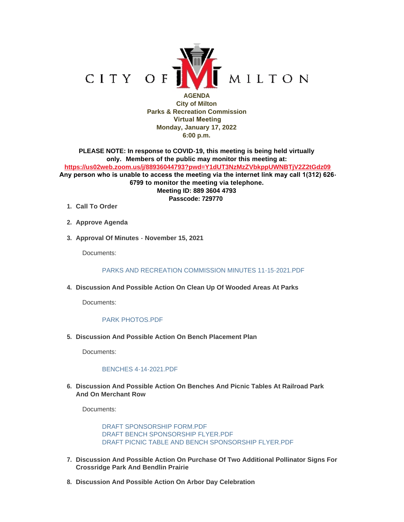

**AGENDA City of Milton Parks & Recreation Commission Virtual Meeting Monday, January 17, 2022 6:00 p.m.**

**PLEASE NOTE: In response to COVID-19, this meeting is being held virtually only. Members of the public may monitor this meeting at: <https://us02web.zoom.us/j/88936044793?pwd=Y1dUT3NzMzZVbkppUWNBTjV2Z2tGdz09> Any person who is unable to access the meeting via the internet link may call 1(312) 626- 6799 to monitor the meeting via telephone. Meeting ID: 889 3604 4793 Passcode: 729770**

- **Call To Order 1.**
- **Approve Agenda 2.**
- **Approval Of Minutes November 15, 2021 3.**

Documents:

PARKS AND RECREATION COMMISSION MINUTES 11-15-2021 PDF

**Discussion And Possible Action On Clean Up Of Wooded Areas At Parks 4.**

Documents:

#### [PARK PHOTOS.PDF](https://www.milton-wi.gov/AgendaCenter/ViewFile/Item/9395?fileID=7183)

**Discussion And Possible Action On Bench Placement Plan 5.**

Documents:

#### [BENCHES 4-14-2021.PDF](https://www.milton-wi.gov/AgendaCenter/ViewFile/Item/9398?fileID=7191)

**Discussion And Possible Action On Benches And Picnic Tables At Railroad Park 6. And On Merchant Row**

Documents:

[DRAFT SPONSORSHIP FORM.PDF](https://www.milton-wi.gov/AgendaCenter/ViewFile/Item/9407?fileID=7196) [DRAFT BENCH SPONSORSHIP FLYER.PDF](https://www.milton-wi.gov/AgendaCenter/ViewFile/Item/9407?fileID=7194) [DRAFT PICNIC TABLE AND BENCH SPONSORSHIP FLYER.PDF](https://www.milton-wi.gov/AgendaCenter/ViewFile/Item/9407?fileID=7195)

- **Discussion And Possible Action On Purchase Of Two Additional Pollinator Signs For 7. Crossridge Park And Bendlin Prairie**
- **Discussion And Possible Action On Arbor Day Celebration 8.**